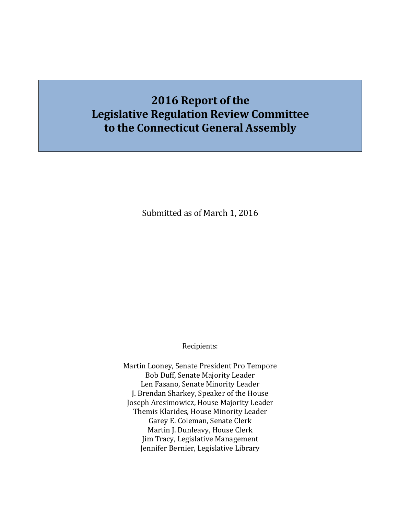# **2016 Report of the Legislative Regulation Review Committee to the Connecticut General Assembly**

Submitted as of March 1, 2016

Recipients:

Martin Looney, Senate President Pro Tempore Bob Duff, Senate Majority Leader Len Fasano, Senate Minority Leader J. Brendan Sharkey, Speaker of the House Joseph Aresimowicz, House Majority Leader Themis Klarides, House Minority Leader Garey E. Coleman, Senate Clerk Martin J. Dunleavy, House Clerk Jim Tracy, Legislative Management Jennifer Bernier, Legislative Library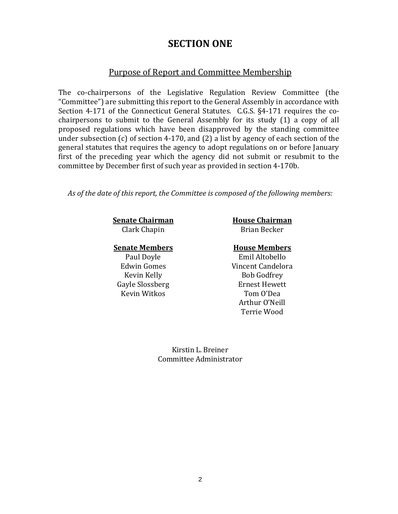### **SECTION ONE**

#### Purpose of Report and Committee Membership

The co-chairpersons of the Legislative Regulation Review Committee (the "Committee") are submitting this report to the General Assembly in accordance with Section 4-171 of the Connecticut General Statutes. C.G.S. §4-171 requires the cochairpersons to submit to the General Assembly for its study (1) a copy of all proposed regulations which have been disapproved by the standing committee under subsection (c) of section 4-170, and (2) a list by agency of each section of the general statutes that requires the agency to adopt regulations on or before January first of the preceding year which the agency did not submit or resubmit to the committee by December first of such year as provided in section 4-170b.

*As of the date of this report, the Committee is composed of the following members:*

**Senate Chairman House Chairman** 

**Senate Members House Members**

Gayle Slossberg Ernest Hewett Kevin Witkos

Clark Chapin Becker

Paul Doyle Emil Altobello<br>Edwin Gomes Vincent Candelor Edwin Gomes Vincent Candelora Bob Godfrey<br>Ernest Hewett Arthur O'Neill Terrie Wood

> Kirstin L. Breiner Committee Administrator